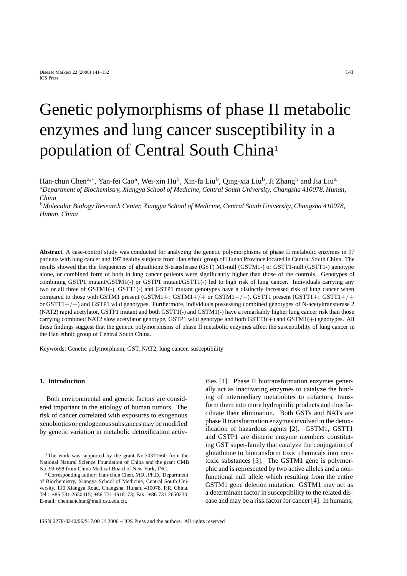# Genetic polymorphisms of phase II metabolic enzymes and lung cancer susceptibility in a population of Central South China**<sup>1</sup>**

Han-chun Chen<sup>a,∗</sup>, Yan-fei Cao<sup>a</sup>, Wei-xin Hu<sup>b</sup>, Xin-fa Liu<sup>b</sup>, Qing-xia Liu<sup>b</sup>, Ji Zhang<sup>b</sup> and Jia Liu<sup>a</sup> <sup>a</sup>*Department of Biochemistry, Xiangya School of Medicine, Central South University, Changsha 410078, Hunan, China*

<sup>b</sup>*Molecular Biology Research Center, Xiangya School of Medicine, Central South University, Changsha 410078, Hunan, China*

**Abstract**. A case-control study was conducted for analyzing the genetic polymorphisms of phase II metabolic enzymes in 97 patients with lung cancer and 197 healthy subjects from Han ethnic group of Hunan Province located in Central South China. The results showed that the frequencies of glutathione S-transferase (GST) M1-null (GSTM1-) or GSTT1-null (GSTT1-) genotype alone, or combined form of both in lung cancer patients were significantly higher than those of the controls. Genotypes of combining GSTP1 mutant/GSTM1(-) or GSTP1 mutant/GSTT1(-) led to high risk of lung cancer. Individuals carrying any two or all three of GSTM1(-), GSTT1(-) and GSTP1 mutant genotypes have a distinctly increased risk of lung cancer when compared to those with GSTM1 present (GSTM1+: GSTM1+*/*+ or GSTM1+*/−*), GSTT1 present (GSTT1+: GSTT1+*/*+ or GSTT1+*/−*) and GSTP1 wild genotypes. Furthermore, individuals possessing combined genotypes of N-acetyltransferase 2 (NAT2) rapid acetylator, GSTP1 mutant and both GSTT1(-) and GSTM1(-) have a remarkably higher lung cancer risk than those carrying combined NAT2 slow acetylator genotype, GSTP1 wild genotype and both GSTT1(+) and GSTM1(+) genotypes. All these findings suggest that the genetic polymorphisms of phase II metabolic enzymes affect the susceptibility of lung cancer in the Han ethnic group of Central South China.

Keywords: Genetic polymorphism, GST, NAT2, lung cancer, susceptibility

#### **1. Introduction**

Both environmental and genetic factors are considered important in the etiology of human tumors. The risk of cancer correlated with exposures to exogenous xenobiotics or endogenous substances may be modified by genetic variation in metabolic detoxification activities [1]. Phase II biotransformation enzymes generally act as inactivating enzymes to catalyze the binding of intermediary metabolites to cofactors, transform them into more hydrophilic products and thus facilitate their elimination. Both GSTs and NATs are phase II transformation enzymes involved in the detoxification of hazardous agents [2]. GSTM1, GSTT1 and GSTP1 are dimeric enzyme members constituting GST super-family that catalyze the conjugation of glutathione to biotransform toxic chemicals into nontoxic substances [3]. The GSTM1 gene is polymorphic and is represented by two active alleles and a nonfunctional null allele which resulting from the entire GSTM1 gene deletion mutation. GSTM1 may act as a determinant factor in susceptibility to the related disease and may be a risk factor for cancer [4]. In humans,

<sup>&</sup>lt;sup>1</sup>The work was supported by the grant No.30371660 from the National Natural Science Foundation of China and the grant CMB No. 99-698 from China Medical Board of New York, INC.

<sup>∗</sup>Corresponding author: Han-chun Chen, MD., Ph.D., Department of Biochemistry, Xiangya School of Medicine, Central South University, 110 Xiangya Road, Changsha, Hunan, 410078, P.R. China. Tel.: +86 731 2650415; +86 731 4918173; Fax: +86 731 2650230; E-mail: chenhanchun@mail.csu.edu.cn.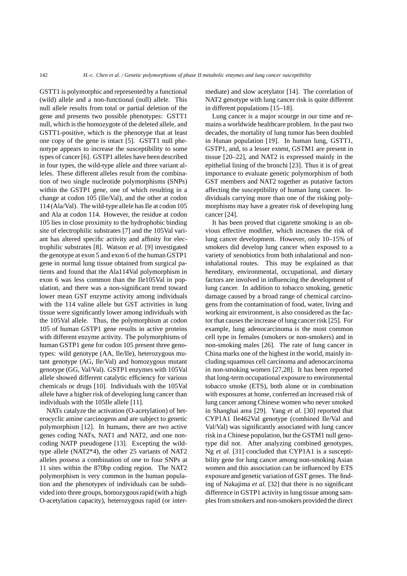GSTT1 is polymorphic and represented by a functional (wild) allele and a non-functional (null) allele. This null allele results from total or partial deletion of the gene and presents two possible phenotypes: GSTT1 null, which is the homozygote of the deleted allele, and GSTT1-positive, which is the phenotype that at least one copy of the gene is intact [5]. GSTT1 null phenotype appears to increase the susceptibility to some types of cancer [6]. GSTP1 alleles have been described in four types, the wild-type allele and three variant alleles. These different alleles result from the combination of two single nucleotide polymorphisms (SNPs) within the GSTP1 gene, one of which resulting in a change at codon 105 (Ile/Val), and the other at codon 114 (Ala/Val). The wild-type allele has Ile at codon 105 and Ala at codon 114. However, the residue at codon 105 lies in close proximity to the hydrophobic binding site of electrophilic substrates [7] and the 105Val variant has altered specific activity and affinity for electrophilic substrates [8]. Watson *et al.* [9] investigated the genotype at exon 5 and exon 6 of the human GSTP1 gene in normal lung tissue obtained from surgical patients and found that the Ala114Val polymorphism in exon 6 was less common than the Ile105Val in population, and there was a non-significant trend toward lower mean GST enzyme activity among individuals with the 114 valine allele but GST activities in lung tissue were significantly lower among individuals with the 105Val allele. Thus, the polymorphism at codon 105 of human GSTP1 gene results in active proteins with different enzyme activity. The polymorphisms of human GSTP1 gene for codon 105 present three genotypes: wild genotype (AA, Ile/Ile), heterozygous mutant genotype (AG, Ile/Val) and homozygous mutant genotype (GG, Val/Val). GSTP1 enzymes with 105Val allele showed different catalytic efficiency for various chemicals or drugs [10]. Individuals with the 105Val allele have a higher risk of developing lung cancer than individuals with the 105Ile allele [11].

NATs catalyze the activation (O-acetylation) of heterocyclic amine carcinogens and are subject to genetic polymorphism [12]. In humans, there are two active genes coding NATs, NAT1 and NAT2, and one noncoding NATP pseudogene [13]. Excepting the wildtype allele (NAT2\*4), the other 25 variants of NAT2 alleles possess a combination of one to four SNPs at 11 sites within the 870bp coding region. The NAT2 polymorphism is very common in the human population and the phenotypes of individuals can be subdivided into three groups, homozygous rapid (with a high O-acetylation capacity), heterozygous rapid (or intermediate) and slow acetylator [14]. The correlation of NAT2 genotype with lung cancer risk is quite different in different populations [15–18].

Lung cancer is a major scourge in our time and remains a worldwide healthcare problem. In the past two decades, the mortality of lung tumor has been doubled in Hunan population [19]. In human lung, GSTT1, GSTP1, and, to a lesser extent, GSTM1 are present in tissue [20–22], and NAT2 is expressed mainly in the epithelial lining of the bronchi [23]. Thus it is of great importance to evaluate genetic polymorphism of both GST members and NAT2 together as putative factors affecting the susceptibility of human lung cancer. Individuals carrying more than one of the risking polymorphisms may have a greater risk of developing lung cancer [24].

It has been proved that cigarette smoking is an obvious effective modifier, which increases the risk of lung cancer development. However, only 10–15% of smokers did develop lung cancer when exposed to a variety of xenobiotics from both inhalational and noninhalational routes. This may be explained as that hereditary, environmental, occupational, and dietary factors are involved in influencing the development of lung cancer. In addition to tobacco smoking, genetic damage caused by a broad range of chemical carcinogens from the contamination of food, water, living and working air environment, is also considered as the factor that causes the increase of lung cancer risk [25]. For example, lung adenocarcinoma is the most common cell type in females (smokers or non-smokers) and in non-smoking males [26]. The rate of lung cancer in China marks one of the highest in the world, mainly including squamous cell carcinoma and adenocarcinoma in non-smoking women [27,28]. It has been reported that long-term occupational exposure to environmental tobacco smoke (ETS), both alone or in combination with exposures at home, conferred an increased risk of lung cancer among Chinese women who never smoked in Shanghai area [29]. Yang *et al.* [30] reported that CYP1A1 Ile462Val genotype (combined Ile/Val and Val/Val) was significantly associated with lung cancer risk in a Chinese population, but the GSTM1 null genotype did not. After analyzing combined genotypes, Ng *et al.* [31] concluded that CYP1A1 is a susceptibility gene for lung cancer among non-smoking Asian women and this association can be influenced by ETS exposure and genetic variation of GST genes. The finding of Nakajima *et al.* [32] that there is no significant difference in GSTP1 activity in lung tissue among samples from smokers and non-smokers provided the direct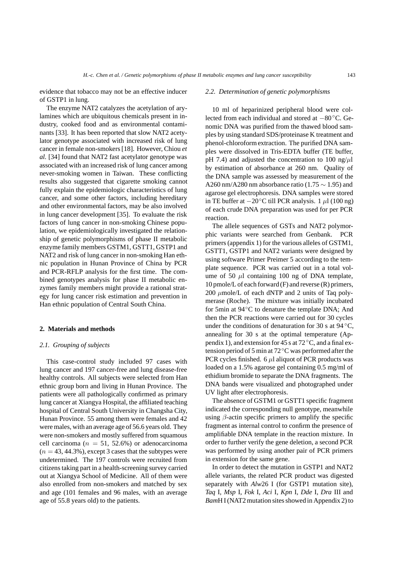evidence that tobacco may not be an effective inducer of GSTP1 in lung.

The enzyme NAT2 catalyzes the acetylation of arylamines which are ubiquitous chemicals present in industry, cooked food and as environmental contaminants [33]. It has been reported that slow NAT2 acetylator genotype associated with increased risk of lung cancer in female non-smokers [18]. However, Chiou *et al.* [34] found that NAT2 fast acetylator genotype was associated with an increased risk of lung cancer among never-smoking women in Taiwan. These conflicting results also suggested that cigarette smoking cannot fully explain the epidemiologic characteristics of lung cancer, and some other factors, including hereditary and other environmental factors, may be also involved in lung cancer development [35]. To evaluate the risk factors of lung cancer in non-smoking Chinese population, we epidemiologically investigated the relationship of genetic polymorphisms of phase II metabolic enzyme family members GSTM1, GSTT1, GSTP1 and NAT2 and risk of lung cancer in non-smoking Han ethnic population in Hunan Province of China by PCR and PCR-RFLP analysis for the first time. The combined genotypes analysis for phase II metabolic enzymes family members might provide a rational strategy for lung cancer risk estimation and prevention in Han ethnic population of Central South China.

#### **2. Materials and methods**

#### *2.1. Grouping of subjects*

This case-control study included 97 cases with lung cancer and 197 cancer-free and lung disease-free healthy controls. All subjects were selected from Han ethnic group born and living in Hunan Province. The patients were all pathologically confirmed as primary lung cancer at Xiangya Hospital, the affiliated teaching hospital of Central South University in Changsha City, Hunan Province. 55 among them were females and 42 were males, with an average age of 56.6 years old. They were non-smokers and mostly suffered from squamous cell carcinoma ( $n = 51, 52.6%$ ) or adenocarcinoma  $(n = 43, 44.3\%)$ , except 3 cases that the subtypes were undetermined. The 197 controls were recruited from citizens taking part in a health-screening survey carried out at Xiangya School of Medicine. All of them were also enrolled from non-smokers and matched by sex and age (101 females and 96 males, with an average age of 55.8 years old) to the patients.

#### *2.2. Determination of genetic polymorphisms*

10 ml of heparinized peripheral blood were collected from each individual and stored at −80 ◦C. Genomic DNA was purified from the thawed blood samples by using standard SDS/proteinase K treatment and phenol-chloroform extraction. The purified DNA samples were dissolved in Tris-EDTA buffer (TE buffer, pH 7.4) and adjusted the concentration to 100 ng/ $\mu$ l by estimation of absorbance at 260 nm. Quality of the DNA sample was assessed by measurement of the A260 nm/A280 nm absorbance ratio (1.75  $\sim$  1.95) and agarose gel electrophoresis. DNA samples were stored in TE buffer at  $-20$ °C till PCR analysis. 1 µl (100 ng) of each crude DNA preparation was used for per PCR reaction.

The allele sequences of GSTs and NAT2 polymorphic variants were searched from Genbank. PCR primers (appendix 1) for the various alleles of GSTM1, GSTT1, GSTP1 and NAT2 variants were designed by using software Primer Preimer 5 according to the template sequence. PCR was carried out in a total volume of 50  $\mu$ l containing 100 ng of DNA template, 10 pmole/L of each forward (F) and reverse (R) primers, 200  $\mu$ mole/L of each dNTP and 2 units of Taq polymerase (Roche). The mixture was initially incubated for 5min at 94◦C to denature the template DNA; And then the PCR reactions were carried out for 30 cycles under the conditions of denaturation for 30 s at  $94^{\circ}$ C, annealing for 30 s at the optimal temperature (Appendix 1), and extension for 45 s at  $72^{\circ}$ C, and a final extension period of 5 min at 72◦C was performed after the PCR cycles finished. 6  $\mu$ l aliquot of PCR products was loaded on a 1.5% agarose gel containing 0.5 mg/ml of ethidium bromide to separate the DNA fragments. The DNA bands were visualized and photographed under UV light after electrophoresis.

The absence of GSTM1 or GSTT1 specific fragment indicated the corresponding null genotype, meanwhile using  $\beta$ -actin specific primers to amplify the specific fragment as internal control to confirm the presence of amplifiable DNA template in the reaction mixture. In order to further verify the gene deletion, a second PCR was performed by using another pair of PCR primers in extension for the same gene.

In order to detect the mutation in GSTP1 and NAT2 allele variants, the related PCR product was digested separately with *Alw*26 I (for GSTP1 mutation site), *Taq* I, *Msp* I, *Fok* I, *Aci* I, *Kpn* I, *Dde* I, *Dra* III and *Bam*H I (NAT2 mutation sites showed in Appendix 2) to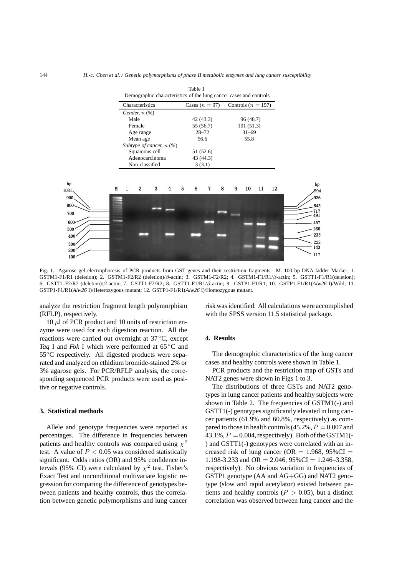|   | Characteristics    |   |                            |   |           | Cases $(n = 97)$ |   |   |           | Controls $(n = 197)$ |    |
|---|--------------------|---|----------------------------|---|-----------|------------------|---|---|-----------|----------------------|----|
|   | Gender, $n$ $(\%)$ |   |                            |   |           |                  |   |   |           |                      |    |
|   | Male               |   |                            |   | 42 (43.3) |                  |   |   | 96 (48.7) |                      |    |
|   | Female             |   |                            |   | 55 (56.7) |                  |   |   | 101(51.3) |                      |    |
|   | Age range          |   |                            |   | $28 - 72$ |                  |   |   | $31 - 69$ |                      |    |
|   | Mean age           |   |                            |   |           | 56.6             |   |   | 55.8      |                      |    |
|   |                    |   | Subtype of cancer, $n$ (%) |   |           |                  |   |   |           |                      |    |
|   | Squamous cell      |   |                            |   |           | 51 (52.6)        |   |   |           |                      |    |
|   | Adenocarcinoma     |   |                            |   | 43 (44.3) |                  |   |   |           |                      |    |
|   | Non-classified     |   |                            |   |           | 3(3.1)           |   |   |           |                      |    |
| M | $\overline{2}$     | 3 | 4                          | 5 | 6         | 7                | 8 | 9 | 10        | 11                   | 12 |
|   |                    |   |                            |   |           |                  |   |   |           |                      |    |
|   |                    |   |                            |   |           |                  |   |   |           |                      |    |
|   |                    |   |                            |   |           |                  |   |   |           |                      |    |
|   |                    |   |                            |   |           |                  |   |   |           |                      |    |
|   |                    |   |                            |   |           |                  |   |   |           |                      |    |
|   |                    |   |                            |   |           |                  |   |   |           |                      |    |

Fig. 1. Agarose gel electrophoresis of PCR products from GST genes and their restriction fragments. M. 100 bp DNA ladder Marker; 1. GSTM1-F1/R1 (deletion); 2. GSTM1-F2/R2 (deletion)/β-actin; 3. GSTM1-F2/R2; 4. GSTM1-F1/R1/β-actin; 5. GSTT1-F1/R1(deletion); 6. GSTT1-F2/R2 (deletion)/β-actin; 7. GSTT1-F2/R2; 8. GSTT1-F1/R1/β-actin; 9. GSTP1-F1/R1; 10. GSTP1-F1/R1(*Alw26* I)/Wild; 11. GSTP1-F1/R1(*Alw26* I)/Heterozygous mutant; 12. GSTP1-F1/R1(*Alw26* I)/Homozygous mutant.

analyze the restriction fragment length polymorphism (RFLP), respectively.

 $10 \mu$ l of PCR product and 10 units of restriction enzyme were used for each digestion reaction. All the reactions were carried out overnight at 37◦C, except *Taq* I and *Fok* I which were performed at 65 ◦C and 55<sup>°</sup>C respectively. All digested products were separated and analyzed on ethidium bromide-stained 2% or 3% agarose gels. For PCR/RFLP analysis, the corresponding sequenced PCR products were used as positive or negative controls.

#### **3. Statistical methods**

Allele and genotype frequencies were reported as percentages. The difference in frequencies between patients and healthy controls was compared using  $\chi^2$ test. A value of  $P < 0.05$  was considered statistically significant. Odds ratios (OR) and 95% confidence intervals (95% CI) were calculated by  $\chi^2$  test, Fisher's Exact Test and unconditional multivariate logistic regression for comparing the difference of genotypes between patients and healthy controls, thus the correlation between genetic polymorphisms and lung cancer

risk was identified. All calculations were accomplished with the SPSS version 11.5 statistical package.

#### **4. Results**

The demographic characteristics of the lung cancer cases and healthy controls were shown in Table 1.

PCR products and the restriction map of GSTs and NAT<sub>2</sub> genes were shown in Figs 1 to 3.

The distributions of three GSTs and NAT2 genotypes in lung cancer patients and healthy subjects were shown in Table 2. The frequencies of GSTM1(-) and GSTT1(-) genotypes significantly elevated in lung cancer patients (61.9% and 60.8%, respectively) as compared to those in health controls  $(45.2\%, P = 0.007$  and  $43.1\%$ ,  $P = 0.004$ , respectively). Both of the GSTM1(-) and GSTT1(-) genotypes were correlated with an increased risk of lung cancer (OR =  $1.968$ ,  $95\%$ CI = 1.198-3.233 and OR = 2.046,  $95\%$ CI = 1.246-3.358, respectively). No obvious variation in frequencies of GSTP1 genotype (AA and AG+GG) and NAT2 genotype (slow and rapid acetylator) existed between patients and healthy controls ( $P > 0.05$ ), but a distinct correlation was observed between lung cancer and the

 $\mathbf{r}$  $103$ 

> $\mathbf{Q}$  $\mathbf{r}$  $\overline{7}$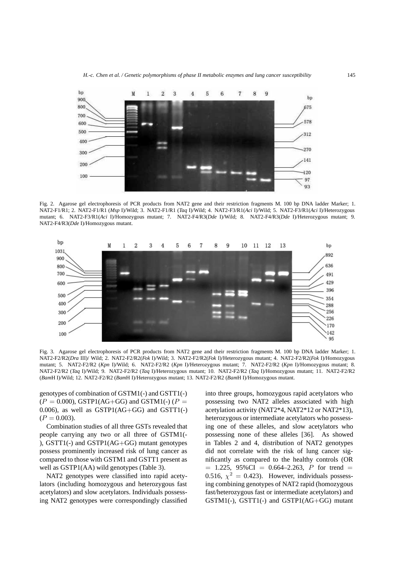

Fig. 2. Agarose gel electrophoresis of PCR products from NAT2 gene and their restriction fragments M. 100 bp DNA ladder Marker; 1. NAT2-F1/R1; 2. NAT2-F1/R1 (*Msp* I)/Wild; 3. NAT2-F1/R1 (*Taq* I)/Wild; 4. NAT2-F3/R1(*Aci* I)/Wild; 5. NAT2-F3/R1(*Aci* I)/Heterozygous mutant; 6. NAT2-F3/R1(*Aci* I)/Homozygous mutant; 7. NAT2-F4/R3(*Dde* I)/Wild; 8. NAT2-F4/R3(*Dde* I)/Heterozygous mutant; 9. NAT2-F4/R3(*Dde* I)/Homozygous mutant.



Fig. 3. Agarose gel electrophoresis of PCR products from NAT2 gene and their restriction fragments M. 100 bp DNA ladder Marker; 1. NAT2-F2/R2(*Dra* III)/ Wild; 2. NAT2-F2/R2(*Fok* I)/Wild; 3. NAT2-F2/R2(*Fok* I)/Heterozygous mutant; 4. NAT2-F2/R2(*Fok* I)/Homozygous mutant; 5. NAT2-F2/R2 (*Kpn* I)/Wild; 6. NAT2-F2/R2 (*Kpn* I)/Heterozygous mutant; 7. NAT2-F2/R2 (*Kpn* I)/Homozygous mutant; 8. NAT2-F2/R2 (*Taq* I)/Wild; 9. NAT2-F2/R2 (*Taq* I)/Heterozygous mutant; 10. NAT2-F2/R2 (*Taq* I)/Homozygous mutant; 11. NAT2-F2/R2 (*Bam*H I)/Wild; 12. NAT2-F2/R2 (*Bam*H I)/Heterozygous mutant; 13. NAT2-F2/R2 (*Bam*H I)/Homozygous mutant.

genotypes of combination of GSTM1(-) and GSTT1(-)  $(P = 0.000)$ , GSTP1(AG+GG) and GSTM1(-) ( $P =$ 0.006), as well as  $GSTP1(AG+GG)$  and  $GSTT1(-)$  $(P = 0.003)$ .

Combination studies of all three GSTs revealed that people carrying any two or all three of GSTM1(- ), GSTT1(-) and GSTP1(AG+GG) mutant genotypes possess prominently increased risk of lung cancer as compared to those with GSTM1 and GSTT1 present as well as GSTP1(AA) wild genotypes (Table 3).

NAT2 genotypes were classified into rapid acetylators (including homozygous and heterozygous fast acetylators) and slow acetylators. Individuals possessing NAT2 genotypes were correspondingly classified

into three groups, homozygous rapid acetylators who possessing two NAT2 alleles associated with high acetylation activity (NAT2\*4, NAT2\*12 or NAT2\*13), heterozygous or intermediate acetylators who possessing one of these alleles, and slow acetylators who possessing none of these alleles [36]. As showed in Tables 2 and 4, distribution of NAT2 genotypes did not correlate with the risk of lung cancer significantly as compared to the healthy controls (OR  $= 1.225, 95\% \text{CI} = 0.664 - 2.263, P \text{ for trend } =$ 0.516,  $\chi^2 = 0.423$ ). However, individuals possessing combining genotypes of NAT2 rapid (homozygous fast/heterozygous fast or intermediate acetylators) and GSTM1(-), GSTT1(-) and GSTP1(AG+GG) mutant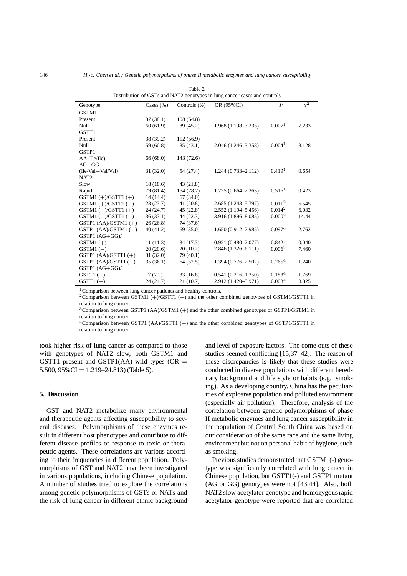| Genotype               | Cases $(\% )$ | Controls (%) | OR (95%CI)             | $\overline{P}$     | $\chi^2$ |  |
|------------------------|---------------|--------------|------------------------|--------------------|----------|--|
| GSTM1                  |               |              |                        |                    |          |  |
| Present                | 37(38.1)      | 108(54.8)    |                        |                    |          |  |
| Null                   | 60(61.9)      | 89 (45.2)    | 1.968 (1.198-3.233)    | 0.007 <sup>1</sup> | 7.233    |  |
| GSTT1                  |               |              |                        |                    |          |  |
| Present                | 38 (39.2)     | 112 (56.9)   |                        |                    |          |  |
| Null                   | 59 (60.8)     | 85(43.1)     | 2.046 (1.246-3.358)    | 0.004 <sup>1</sup> | 8.128    |  |
| GSTP1                  |               |              |                        |                    |          |  |
| AA (Ile/Ile)           | 66(68.0)      | 143 (72.6)   |                        |                    |          |  |
| $AG+GG$                |               |              |                        |                    |          |  |
| (Ile/Val+Val/Val)      | 31(32.0)      | 54 (27.4)    | $1.244(0.733 - 2.112)$ | 0.419 <sup>1</sup> | 0.654    |  |
| NAT2                   |               |              |                        |                    |          |  |
| Slow                   | 18(18.6)      | 43 (21.8)    |                        |                    |          |  |
| Rapid                  | 79 (81.4)     | 154 (78.2)   | $1.225(0.664 - 2.263)$ | 0.516 <sup>1</sup> | 0.423    |  |
| $GSTM1 (+)/GSTT1 (+)$  | 14(14.4)      | 67(34.0)     |                        |                    |          |  |
| $GSTM1 (+)/GST1 (-)$   | 23(23.7)      | 41(20.8)     | 2.685 (1.243-5.797)    | 0.011 <sup>2</sup> | 6.545    |  |
| $GSTM1 (-)/GST1 (+)$   | 24(24.7)      | 45(22.8)     | $2.552(1.194 - 5.456)$ | 0.014 <sup>2</sup> | 6.032    |  |
| $GSTM1 (-)/GST1 (-)$   | 36(37.1)      | 44 (22.3)    | 3.916 (1.896-8.085)    | 0.000 <sup>2</sup> | 14.44    |  |
| $GSTP1 (AA)/GSTM1 (+)$ | 26(26.8)      | 74 (37.6)    |                        |                    |          |  |
| $GSTP1 (AA)/GSTM1 (-)$ | 40 (41.2)     | 69 (35.0)    | $1.650(0.912 - 2.985)$ | 0.097 <sup>3</sup> | 2.762    |  |
| $GSTP1 (AG+GG)$        |               |              |                        |                    |          |  |
| $GSTM1 (+)$            | 11(11.3)      | 34 (17.3)    | $0.921(0.480 - 2.077)$ | $0.842^3$          | 0.040    |  |
| $GSTM1(-)$             | 20(20.6)      | 20(10.2)     | $2.846(1.326 - 6.111)$ | 0.006 <sup>3</sup> | 7.460    |  |
| $GSTP1 (AA)/GSTT1 (+)$ | 31(32.0)      | 79 (40.1)    |                        |                    |          |  |
| $GSTP1 (AA)/GSTT1 (-)$ | 35(36.1)      | 64 (32.5)    | $1.394(0.776 - 2.502)$ | 0.265 <sup>4</sup> | 1.240    |  |
| $GSTP1 (AG+GG)$        |               |              |                        |                    |          |  |
| $GSTT1 (+)$            | 7(7.2)        | 33(16.8)     | $0.541(0.216 - 1.350)$ | 0.183 <sup>4</sup> | 1.769    |  |
| $GSTT1(-)$             | 24 (24.7)     | 21(10.7)     | 2.912 (1.420-5.971)    | 0.003 <sup>4</sup> | 8.825    |  |
|                        |               |              |                        |                    |          |  |

Table 2 Distribution of GSTs and NAT2 genotypes in lung cancer cases and controls

 $^1\mathrm{Comparison}$  between lung cancer patients and healthy controls.

<sup>2</sup>Comparison between GSTM1 (+)/GSTT1 (+) and the other combined genotypes of GSTM1/GSTT1 in relation to lung cancer.

<sup>3</sup>Comparison between GSTP1 (AA)/GSTM1 (+) and the other combined genotypes of GSTP1/GSTM1 in relation to lung cancer.

<sup>4</sup>Comparison between GSTP1 (AA)/GSTT1 (+) and the other combined genotypes of GSTP1/GSTT1 in relation to lung cancer.

took higher risk of lung cancer as compared to those with genotypes of NAT2 slow, both GSTM1 and GSTT1 present and GSTP1(AA) wild types  $(OR =$ 5.500,  $95\%CI = 1.219 - 24.813$  (Table 5).

### **5. Discussion**

GST and NAT2 metabolize many environmental and therapeutic agents affecting susceptibility to several diseases. Polymorphisms of these enzymes result in different host phenotypes and contribute to different disease profiles or response to toxic or therapeutic agents. These correlations are various according to their frequencies in different population. Polymorphisms of GST and NAT2 have been investigated in various populations, including Chinese population. A number of studies tried to explore the correlations among genetic polymorphisms of GSTs or NATs and the risk of lung cancer in different ethnic background and level of exposure factors. The come outs of these studies seemed conflicting [15,37–42]. The reason of these discrepancies is likely that these studies were conducted in diverse populations with different hereditary background and life style or habits (e.g. smoking). As a developing country, China has the peculiarities of explosive population and polluted environment (especially air pollution). Therefore, analysis of the correlation between genetic polymorphisms of phase II metabolic enzymes and lung cancer susceptibility in the population of Central South China was based on our consideration of the same race and the same living environment but not on personal habit of hygiene, such as smoking.

Previous studies demonstrated that GSTM1(-) genotype was significantly correlated with lung cancer in Chinese population, but GSTT1(-) and GSTP1 mutant (AG or GG) genotypes were not [43,44]. Also, both NAT2 slow acetylator genotype and homozygous rapid acetylator genotype were reported that are correlated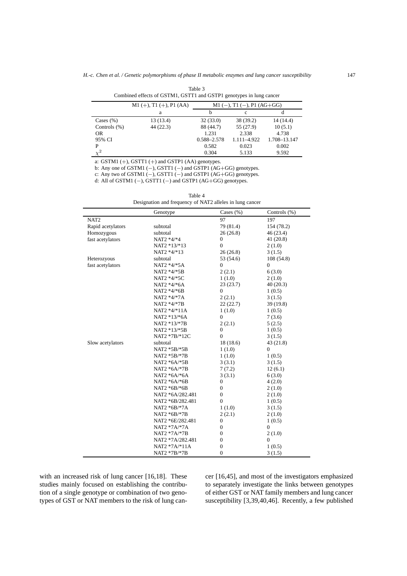| Combined effects of GSTM1, GSTT1 and GSTP1 genotypes in lung cancer |                                 |                           |             |              |  |  |
|---------------------------------------------------------------------|---------------------------------|---------------------------|-------------|--------------|--|--|
|                                                                     | $M1 (+)$ , T1 $(+)$ , P1 $(AA)$ | $M1(-), T1(-), P1(AG+GG)$ |             |              |  |  |
|                                                                     | a                               | h                         | c           | d            |  |  |
| Cases $(\% )$                                                       | 13 (13.4)                       | 32(33.0)                  | 38 (39.2)   | 14 (14.4)    |  |  |
| Controls $(\%)$                                                     | 44(22.3)                        | 88 (44.7)                 | 55 (27.9)   | 10(5.1)      |  |  |
| <b>OR</b>                                                           |                                 | 1.231                     | 2.338       | 4.738        |  |  |
| 95% CI                                                              |                                 | 0.588-2.578               | 1.111-4.922 | 1.708-13.147 |  |  |
| P                                                                   |                                 | 0.582                     | 0.023       | 0.002        |  |  |
| $\chi^2$                                                            |                                 | 0.304                     | 5.133       | 9.592        |  |  |

Table 3

a: GSTM1  $(+)$ , GSTT1  $(+)$  and GSTP1  $(AA)$  genotypes.

b: Any one of GSTM1 (−), GSTT1 (−) and GSTP1 (AG+GG) genotypes.

c: Any two of GSTM1 (−), GSTT1 (−) and GSTP1 (AG+GG) genotypes.

d: All of GSTM1 (−), GSTT1 (−) and GSTP1 (AG+GG) genotypes.

|                   | Genotype         | Cases $(\% )$    | Controls (%)     |
|-------------------|------------------|------------------|------------------|
| NAT <sub>2</sub>  |                  | 97               | 197              |
| Rapid acetylators | subtotal         | 79 (81.4)        | 154 (78.2)       |
| Homozygous        | subtotal         | 26(26.8)         | 46 (23.4)        |
| fast acetylators  | NAT2 *4/*4       | $\mathbf{0}$     | 41 (20.8)        |
|                   | NAT2 *13/*13     | $\overline{0}$   | 2(1.0)           |
|                   | NAT2 *4/*13      | 26(26.8)         | 3(1.5)           |
| Heterozyous       | subtotal         | 53 (54.6)        | 108(54.8)        |
| fast acetylators  | NAT2 *4/*5A      | $\boldsymbol{0}$ | $\boldsymbol{0}$ |
|                   | NAT2 *4/*5B      | 2(2.1)           | 6(3.0)           |
|                   | NAT2 *4/*5C      | 1(1.0)           | 2(1.0)           |
|                   | NAT2 $*4/*6A$    | 23(23.7)         | 40(20.3)         |
|                   | NAT2 *4/*6B      | $\mathbf{0}$     | 1(0.5)           |
|                   | NAT2 *4/*7A      | 2(2.1)           | 3(1.5)           |
|                   | NAT2 *4/*7B      | 22(22.7)         | 39 (19.8)        |
|                   | NAT2 *4/*11A     | 1(1.0)           | 1(0.5)           |
|                   | NAT2 *13/*6A     | $\mathbf{0}$     | 7(3.6)           |
|                   | NAT2 *13/*7B     | 2(2.1)           | 5(2.5)           |
|                   | NAT2 *13/*5B     | $\mathbf{0}$     | 1(0.5)           |
|                   | NAT2 *7B/*12C    | $\mathbf{0}$     | 3(1.5)           |
| Slow acetylators  | subtotal         | 18(18.6)         | 43 (21.8)        |
|                   | NAT2 *5B/*5B     | 1(1.0)           | $\mathbf{0}$     |
|                   | NAT2 *5B/*7B     | 1(1.0)           | 1(0.5)           |
|                   | NAT2 $*6A/*5B$   | 3(3.1)           | 3(1.5)           |
|                   | NAT2 *6A/*7B     | 7(7.2)           | 12(6.1)          |
|                   | NAT2 $*6A/*6A$   | 3(3.1)           | 6(3.0)           |
|                   | NAT2 $*6A/*6B$   | $\boldsymbol{0}$ | 4(2.0)           |
|                   | NAT2 $*6B/*6B$   | $\boldsymbol{0}$ | 2(1.0)           |
|                   | NAT2 *6A/282.481 | $\boldsymbol{0}$ | 2(1.0)           |
|                   | NAT2 *6B/282.481 | $\overline{0}$   | 1(0.5)           |
|                   | $NAT2 * 6B * 7A$ | 1(1.0)           | 3(1.5)           |
|                   | NAT2 *6B/*7B     | 2(2.1)           | 2(1.0)           |
|                   | NAT2 *6E/282.481 | $\boldsymbol{0}$ | 1(0.5)           |
|                   | NAT2 *7A/*7A     | $\boldsymbol{0}$ | $\boldsymbol{0}$ |
|                   | NAT2 *7A/*7B     | $\mathbf{0}$     | 2(1.0)           |
|                   | NAT2 *7A/282.481 | $\boldsymbol{0}$ | $\mathbf{0}$     |
|                   | NAT2 *7A/*11A    | $\boldsymbol{0}$ | 1(0.5)           |
|                   | NAT2 *7B/*7B     | $\mathbf{0}$     | 3(1.5)           |

| Table 4                                                  |
|----------------------------------------------------------|
| Designation and frequency of NAT2 alleles in lung cancer |
|                                                          |

with an increased risk of lung cancer [16,18]. These studies mainly focused on establishing the contribution of a single genotype or combination of two genotypes of GST or NAT members to the risk of lung cancer [16,45], and most of the investigators emphasized to separately investigate the links between genotypes of either GST or NAT family members and lung cancer susceptibility [3,39,40,46]. Recently, a few published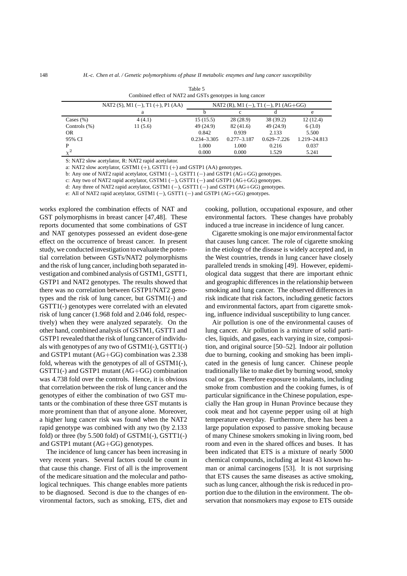|                 | NAT2 (S), M1 (-), T1 (+), P1 (AA) |                 |                 | NAT2 (R), M1 (-), T1 (-), P1 (AG+GG) |              |
|-----------------|-----------------------------------|-----------------|-----------------|--------------------------------------|--------------|
|                 | a                                 |                 | c               |                                      | e            |
| Cases $(\%)$    | 4(4.1)                            | 15(15.5)        | 28(28.9)        | 38 (39.2)                            | 12(12.4)     |
| Controls $(\%)$ | 11(5.6)                           | 49 (24.9)       | 82 (41.6)       | 49 (24.9)                            | 6(3.0)       |
| OR              |                                   | 0.842           | 0.939           | 2.133                                | 5.500        |
| 95% CI          |                                   | $0.234 - 3.305$ | $0.277 - 3.187$ | $0.629 - 7.226$                      | 1.219-24.813 |
| P               |                                   | 1.000           | 1.000           | 0.216                                | 0.037        |
|                 |                                   | 0.000           | 0.000           | 1.529                                | 5.241        |
|                 |                                   |                 |                 |                                      |              |

Table 5 Combined effect of NAT2 and GSTs genotypes in lung cancer

S: NAT2 slow acetylator, R: NAT2 rapid acetylator.

a: NAT2 slow acetylator, GSTM1  $(+)$ , GSTT1  $(+)$  and GSTP1 (AA) genotypes.

b: Any one of NAT2 rapid acetylator, GSTM1 (−), GSTT1 (−) and GSTP1 (AG+GG) genotypes.

c: Any two of NAT2 rapid acetylator, GSTM1 (−), GSTT1 (−) and GSTP1 (AG+GG) genotypes.

d: Any three of NAT2 rapid acetylator, GSTM1 (−), GSTT1 (−) and GSTP1 (AG+GG) genotypes.

e: All of NAT2 rapid acetylator, GSTM1 (−), GSTT1 (−) and GSTP1 (AG+GG) genotypes.

works explored the combination effects of NAT and GST polymorphisms in breast cancer [47,48]. These reports documented that some combinations of GST and NAT genotypes possessed an evident dose-gene effect on the occurrence of breast cancer. In present study, we conducted investigation to evaluate the potential correlation between GSTs/NAT2 polymorphisms and the risk of lung cancer, including both separated investigation and combined analysis of GSTM1, GSTT1, GSTP1 and NAT2 genotypes. The results showed that there was no correlation between GSTP1/NAT2 genotypes and the risk of lung cancer, but GSTM1(-) and GSTT1(-) genotypes were correlated with an elevated risk of lung cancer (1.968 fold and 2.046 fold, respectively) when they were analyzed separately. On the other hand, combined analysis of GSTM1, GSTT1 and GSTP1 revealed that the risk of lung cancer of individuals with genotypes of any two of GSTM1(-), GSTT1(-) and GSTP1 mutant (AG+GG) combination was 2.338 fold, whereas with the genotypes of all of GSTM1(-), GSTT1(-) and GSTP1 mutant (AG+GG) combination was 4.738 fold over the controls. Hence, it is obvious that correlation between the risk of lung cancer and the genotypes of either the combination of two GST mutants or the combination of these three GST mutants is more prominent than that of anyone alone. Moreover, a higher lung cancer risk was found when the NAT2 rapid genotype was combined with any two (by 2.133 fold) or three (by  $5.500$  fold) of  $GSTM1(-)$ ,  $GSTT1(-)$ and GSTP1 mutant (AG+GG) genotypes.

The incidence of lung cancer has been increasing in very recent years. Several factors could be count in that cause this change. First of all is the improvement of the medicare situation and the molecular and pathological techniques. This change enables more patients to be diagnosed. Second is due to the changes of environmental factors, such as smoking, ETS, diet and cooking, pollution, occupational exposure, and other environmental factors. These changes have probably induced a true increase in incidence of lung cancer.

Cigarette smoking is one major environmental factor that causes lung cancer. The role of cigarette smoking in the etiology of the disease is widely accepted and, in the West countries, trends in lung cancer have closely paralleled trends in smoking [49]. However, epidemiological data suggest that there are important ethnic and geographic differences in the relationship between smoking and lung cancer. The observed differences in risk indicate that risk factors, including genetic factors and environmental factors, apart from cigarette smoking, influence individual susceptibility to lung cancer.

Air pollution is one of the environmental causes of lung cancer. Air pollution is a mixture of solid particles, liquids, and gases, each varying in size, composition, and original source [50–52]. Indoor air pollution due to burning, cooking and smoking has been implicated in the genesis of lung cancer. Chinese people traditionally like to make diet by burning wood, smoky coal or gas. Therefore exposure to inhalants, including smoke from combustion and the cooking fumes, is of particular significance in the Chinese population, especially the Han group in Hunan Province because they cook meat and hot cayenne pepper using oil at high temperature everyday. Furthermore, there has been a large population exposed to passive smoking because of many Chinese smokers smoking in living room, bed room and even in the shared offices and buses. It has been indicated that ETS is a mixture of nearly 5000 chemical compounds, including at least 43 known human or animal carcinogens [53]. It is not surprising that ETS causes the same diseases as active smoking, such as lung cancer, although the risk is reduced in proportion due to the dilution in the environment. The observation that nonsmokers may expose to ETS outside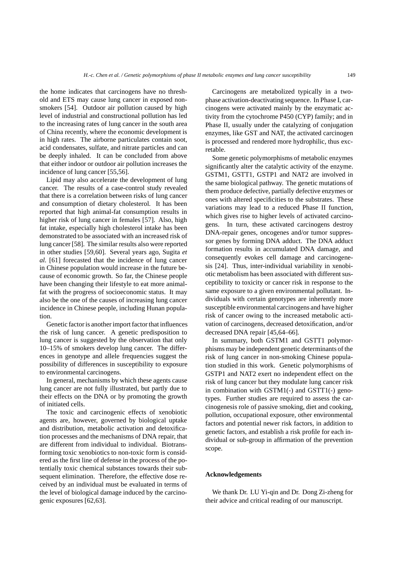the home indicates that carcinogens have no threshold and ETS may cause lung cancer in exposed nonsmokers [54]. Outdoor air pollution caused by high level of industrial and constructional pollution has led to the increasing rates of lung cancer in the south area of China recently, where the economic development is in high rates. The airborne particulates contain soot, acid condensates, sulfate, and nitrate particles and can be deeply inhaled. It can be concluded from above that either indoor or outdoor air pollution increases the incidence of lung cancer [55,56].

Lipid may also accelerate the development of lung cancer. The results of a case-control study revealed that there is a correlation between risks of lung cancer and consumption of dietary cholesterol. It has been reported that high animal-fat consumption results in higher risk of lung cancer in females [57]. Also, high fat intake, especially high cholesterol intake has been demonstrated to be associated with an increased risk of lung cancer [58]. The similar results also were reported in other studies [59,60]. Several years ago, Sugita *et al.* [61] forecasted that the incidence of lung cancer in Chinese population would increase in the future because of economic growth. So far, the Chinese people have been changing their lifestyle to eat more animalfat with the progress of socioeconomic status. It may also be the one of the causes of increasing lung cancer incidence in Chinese people, including Hunan population.

Genetic factor is another import factor that influences the risk of lung cancer. A genetic predisposition to lung cancer is suggested by the observation that only 10–15% of smokers develop lung cancer. The differences in genotype and allele frequencies suggest the possibility of differences in susceptibility to exposure to environmental carcinogens.

In general, mechanisms by which these agents cause lung cancer are not fully illustrated, but partly due to their effects on the DNA or by promoting the growth of initiated cells.

The toxic and carcinogenic effects of xenobiotic agents are, however, governed by biological uptake and distribution, metabolic activation and detoxification processes and the mechanisms of DNA repair, that are different from individual to individual. Biotransforming toxic xenobiotics to non-toxic form is considered as the first line of defense in the process of the potentially toxic chemical substances towards their subsequent elimination. Therefore, the effective dose received by an individual must be evaluated in terms of the level of biological damage induced by the carcinogenic exposures [62,63].

Carcinogens are metabolized typically in a twophase activation-deactivating sequence. In Phase I, carcinogens were activated mainly by the enzymatic activity from the cytochrome P450 (CYP) family; and in Phase II, usually under the catalyzing of conjugation enzymes, like GST and NAT, the activated carcinogen is processed and rendered more hydrophilic, thus excretable.

Some genetic polymorphisms of metabolic enzymes significantly alter the catalytic activity of the enzyme. GSTM1, GSTT1, GSTP1 and NAT2 are involved in the same biological pathway. The genetic mutations of them produce defective, partially defective enzymes or ones with altered specificities to the substrates. These variations may lead to a reduced Phase II function, which gives rise to higher levels of activated carcinogens. In turn, these activated carcinogens destroy DNA-repair genes, oncogenes and/or tumor suppressor genes by forming DNA adduct. The DNA adduct formation results in accumulated DNA damage, and consequently evokes cell damage and carcinogenesis [24]. Thus, inter-individual variability in xenobiotic metabolism has been associated with different susceptibility to toxicity or cancer risk in response to the same exposure to a given environmental pollutant. Individuals with certain genotypes are inherently more susceptible environmental carcinogens and have higher risk of cancer owing to the increased metabolic activation of carcinogens, decreased detoxification, and/or decreased DNA repair [45,64–66].

In summary, both GSTM1 and GSTT1 polymorphisms may be independent genetic determinants of the risk of lung cancer in non-smoking Chinese population studied in this work. Genetic polymorphisms of GSTP1 and NAT2 exert no independent effect on the risk of lung cancer but they modulate lung cancer risk in combination with GSTM1(-) and GSTT1(-) genotypes. Further studies are required to assess the carcinogenesis role of passive smoking, diet and cooking, pollution, occupational exposure, other environmental factors and potential newer risk factors, in addition to genetic factors, and establish a risk profile for each individual or sub-group in affirmation of the prevention scope.

#### **Acknowledgements**

We thank Dr. LU Yi-qin and Dr. Dong Zi-zheng for their advice and critical reading of our manuscript.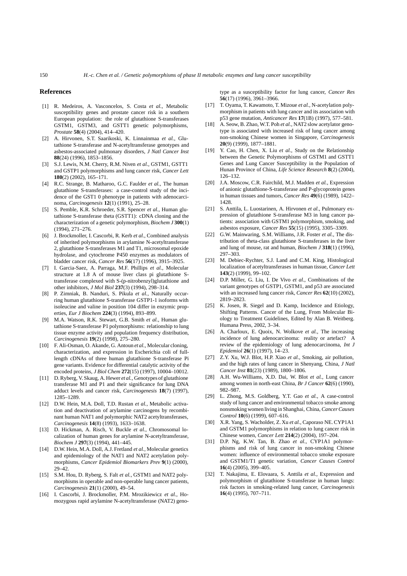#### **References**

- [1] R. Medeiros, A. Vasconcelos, S. Costa *et al.*, Metabolic susceptibility genes and prostate cancer risk in a southern European population: the role of glutathione S-transferases GSTM1, GSTM3, and GSTT1 genetic polymorphisms, *Prostate* **58**(4) (2004), 414–420.
- [2] A. Hirvonen, S.T. Saarikoski, K. Linnainmaa *et al.*, Glutathione S-transferase and N-acetyltransferase genotypes and asbestos-associated pulmonary disorders, *J Natl Cancer Inst* **88**(24) (1996), 1853–1856.
- [3] S.J. Lewis, N.M. Cherry, R.M. Niven *et al.*, GSTM1, GSTT1 and GSTP1 polymorphisms and lung cancer risk, *Cancer Lett* **180**(2) (2002), 165–171.
- [4] R.C. Strange, B. Matharoo, G.C. Faulder *et al.*, The human glutathione S-transferases: a case-control study of the incidence of the GST1 0 phenotype in patients with adenocarcinoma, *Carcinogenesis* **12**(1) (1991), 25–28.
- [5] S. Pemble, K.R. Schroeder, S.R. Spencer *et al.*, Human glutathione S-transferase theta (GSTT1): cDNA cloning and the characterization of a genetic polymorphism, *Biochem J* **300**(1) (1994), 271–276.
- [6] J. Brockmoller, I. Cascorbi, R. Kerb *et al.*, Combined analysis of inherited polymorphisms in arylamine N-acetyltransferase 2, glutathione S-transferases M1 and T1, microsomal epoxide hydrolase, and cytochrome P450 enzymes as modulators of bladder cancer risk, *Cancer Res* **56**(17) (1996), 3915–3925.
- [7] I. Garcia-Saez, A. Parraga, M.F. Phillips *et al.*, Molecular structure at 1.8 A of mouse liver class pi glutathione Stransferase complexed with S-(p-nitrobenzyl)glutathione and other inhibitors, *J Mol Biol* **237**(3) (1994), 298–314.
- [8] P. Zimniak, B. Nanduri, S. Pikula *et al.*, Naturally occurring human glutathione S-transferase GSTP1-1 isoforms with isoleucine and valine in position 104 differ in enzymic properties, *Eur J Biochem* **224**(3) (1994), 893–899.
- [9] M.A. Watson, R.K. Stewart, G.B. Smith *et al.*, Human glutathione S-transferase P1 polymorphisms: relationship to lung tissue enzyme activity and population frequency distribution, *Carcinogenesis* **19**(2) (1998), 275–280.
- [10] F. Ali-Osman, O. Akande, G. Antoun *et al.*, Molecular cloning, characterization, and expression in Escherichia coli of fulllength cDNAs of three human glutathione S-transferase Pi gene variants. Evidence for differential catalytic activity of the encoded proteins, *J Biol Chem* **272**(15) (1997), 10004–10012.
- [11] D. Ryberg, V. Skaug, A. Hewer *et al.*, Genotypes of glutathione transferase M1 and P1 and their significance for lung DNA adduct levels and cancer risk, *Carcinogenesis* **18**(7) (1997), 1285–1289.
- [12] D.W. Hein, M.A. Doll, T.D. Rustan *et al.*, Metabolic activation and deactivation of arylamine carcinogens by recombinant human NAT1 and polymorphic NAT2 acetyltransferases, *Carcinogenesis* **14**(8) (1993), 1633–1638.
- [13] D. Hickman, A. Risch, V. Buckle *et al.*, Chromosomal localization of human genes for arylamine N-acetyltransferase, *Biochem J* **297**(3) (1994), 441–445.
- [14] D.W. Hein, M.A. Doll, A.J. Fretland *et al.*, Molecular genetics and epidemiology of the NAT1 and NAT2 acetylation polymorphisms, *Cancer Epidemiol Biomarkers Prev* **9**(1) (2000), 29–42.
- [15] S.M. Hou, D. Ryberg, S. Falt *et al.*, GSTM1 and NAT2 polymorphisms in operable and non-operable lung cancer patients, *Carcinogenesis* **21**(1) (2000), 49–54.
- [16] I. Cascorbi, J. Brockmoller, P.M. Mrozikiewicz *et al.*, Homozygous rapid arylamine N-acetyltransferase (NAT2) geno-

type as a susceptibility factor for lung cancer, *Cancer Res* **56**(17) (1996), 3961–3966.

- [17] T. Oyama, T. Kawamoto, T. Mizoue *et al.*, N-acetylation polymorphism in patients with lung cancer and its association with p53 gene mutation, *Anticancer Res* **17**(1B) (1997), 577–581.
- [18] A. Seow, B. Zhao, W.T. Poh *et al.*, NAT2 slow acetylator genotype is associated with increased risk of lung cancer among non-smoking Chinese women in Singapore, *Carcinogenesis* **20**(9) (1999), 1877–1881.
- [19] Y. Cao, H. Chen, X. Liu *et al.*, Study on the Relationship between the Genetic Polymorphisms of GSTM1 and GSTT1 Genes and Lung Cancer Susceptibility in the Population of Hunan Province of China, *Life Science Research* **8**(2) (2004), 126–132.
- [20] J.A. Moscow, C.R. Fairchild, M.J. Madden *et al.*, Expression of anionic glutathione-S-transferase and P-glycoprotein genes in human tissues and tumors, *Cancer Res* **49**(6) (1989), 1422– 1428.
- [21] S. Anttila, L. Luostarinen, A. Hirvonen *et al.*, Pulmonary expression of glutathione S-transferase M3 in lung cancer patients: association with GSTM1 polymorphism, smoking, and asbestos exposure, *Cancer Res* **55**(15) (1995), 3305–3309.
- [22] G.W. Mainwaring, S.M. Williams, J.R. Foster *et al.*, The distribution of theta-class glutathione S-transferases in the liver and lung of mouse, rat and human, *Biochem J* **318**(1) (1996), 297–303.
- [23] M. Debiec-Rychter, S.J. Land and C.M. King, Histological localization of acetyltransferases in human tissue, *Cancer Lett* **143**(2) (1999), 99–102.
- [24] D.P. Miller, G. Liu, I. De Vivo *et al.*, Combinations of the variant genotypes of GSTP1, GSTM1, and p53 are associated with an increased lung cancer risk, *Cancer Res* **62**(10) (2002), 2819–2823.
- [25] K. Josen, R. Siegel and D. Kamp, Incidence and Etiology, Shifting Patterns. Cancer of the Lung, From Molecular Biology to Treatment Guidelines, Edited by Alan B. Weitberg. Humana Press, 2002, 3–34.
- [26] A. Charloux, E. Quoix, N. Wolkove *et al.*, The increasing incidence of lung adenocarcinoma: reality or artefact? A review of the epidemiology of lung adenocarcinoma, *Int J Epidemiol* **26**(1) (1997), 14–23.
- [27] Z.Y. Xu, W.J. Blot, H.P. Xiao *et al.*, Smoking, air pollution, and the high rates of lung cancer in Shenyang, China, *J Natl Cancer Inst* **81**(23) (1989), 1800–1806.
- [28] A.H. Wu-Williams, X.D. Dai, W. Blot *et al.*, Lung cancer among women in north-east China, *Br J Cancer* **62**(6) (1990), 982–987.
- [29] L. Zhong, M.S. Goldberg, Y.T. Gao *et al.*, A case-control study of lung cancer and environmental tobacco smoke among nonsmoking women living in Shanghai, China, *Cancer Causes Control* **10**(6) (1999), 607–616.
- [30] X.R. Yang, S. Wacholder, Z. Xu *et al.*, Caporaso NE. CYP1A1 and GSTM1 polymorphisms in relation to lung cancer risk in Chinese women, *Cancer Lett* **214**(2) (2004), 197–204.
- [31] D.P. Ng, K.W. Tan, B. Zhao *et al.*, CYP1A1 polymorphisms and risk of lung cancer in non-smoking Chinese women: influence of environmental tobacco smoke exposure and GSTM1/T1 genetic variation, *Cancer Causes Control* **16**(4) (2005), 399–405.
- [32] T. Nakajima, E. Elovaara, S. Anttila *et al.*, Expression and polymorphism of glutathione S-transferase in human lungs: risk factors in smoking-related lung cancer, *Carcinogenesis* **16**(4) (1995), 707–711.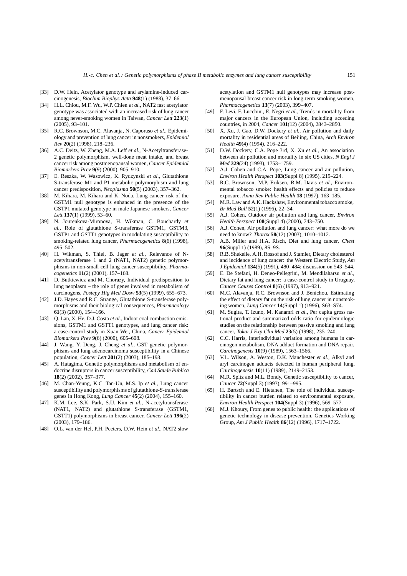- [33] D.W. Hein, Acetylator genotype and arylamine-induced carcinogenesis, *Biochim Biophys Acta* **948**(1) (1988), 37–66.
- [34] H.L. Chiou, M.F. Wu, W.P. Chien *et al.*, NAT2 fast acetylator genotype was associated with an increased risk of lung cancer among never-smoking women in Taiwan, *Cancer Lett* **223**(1) (2005), 93–101.
- [35] R.C. Brownson, M.C. Alavanja, N. Caporaso *et al.*, Epidemiology and prevention of lung cancer in nonsmokers, *Epidemiol Rev* **20**(2) (1998), 218–236.
- [36] A.C. Deitz, W. Zheng, M.A. Leff *et al.*, N-Acetyltransferase-2 genetic polymorphism, well-done meat intake, and breast cancer risk among postmenopausal women, *Cancer Epidemiol Biomarkers Prev* **9**(9) (2000), 905–910.
- [37] E. Reszka, W. Wasowicz, K. Rydzynski *et al.*, Glutathione S-transferase M1 and P1 metabolic polymorphism and lung cancer predisposition, *Neoplasma* **50**(5) (2003), 357–362.
- [38] M. Kihara, M. Kihara and K. Noda, Lung cancer risk of the GSTM1 null genotype is enhanced in the presence of the GSTP1 mutated genotype in male Japanese smokers, *Cancer Lett* **137**(1) (1999), 53–60.
- [39] N. Jourenkova-Mironova, H. Wikman, C. Bouchardy *et al.*, Role of glutathione S-transferase GSTM1, GSTM3, GSTP1 and GSTT1 genotypes in modulating susceptibility to smoking-related lung cancer, *Pharmacogenetics* **8**(6) (1998), 495–502.
- [40] H. Wikman, S. Thiel, B. Jager *et al.*, Relevance of Nacetyltransferase 1 and 2 (NAT1, NAT2) genetic polymorphisms in non-small cell lung cancer susceptibility, *Pharmacogenetics* **11**(2) (2001), 157–168.
- [41] D. Butkiewicz and M. Chorazy, Individual predisposition to lung neoplasm – the role of genes involved in metabolism of carcinogens, *Postepy Hig Med Dosw* **53**(5) (1999), 655–673.
- [42] J.D. Hayes and R.C. Strange, Glutathione S-transferase polymorphisms and their biological consequences, *Pharmacology* **61**(3) (2000), 154–166.
- [43] Q. Lan, X. He, D.J. Costa *et al.*, Indoor coal combustion emissions, GSTM1 and GSTT1 genotypes, and lung cancer risk: a case-control study in Xuan Wei, China, *Cancer Epidemiol Biomarkers Prev* **9**(6) (2000), 605–608.
- [44] J. Wang, Y. Deng, J. Cheng *et al.*, GST genetic polymorphisms and lung adenocarcinoma susceptibility in a Chinese population, *Cancer Lett* **201**(2) (2003), 185–193.
- [45] A. Hatagima, Genetic polymorphisms and metabolism of endocrine disruptors in cancer susceptibility, *Cad Saude Publica* **18**(2) (2002), 357–377.
- [46] M. Chan-Yeung, K.C. Tan-Un, M.S. Ip *et al.*, Lung cancer susceptibility and polymorphisms of glutathione-S-transferase genes in Hong Kong, *Lung Cancer* **45**(2) (2004), 155–160.
- [47] K.M. Lee, S.K. Park, S.U. Kim *et al.*, N-acetyltransferase (NAT1, NAT2) and glutathione S-transferase (GSTM1, GSTT1) polymorphisms in breast cancer, *Cancer Lett* **196**(2) (2003), 179–186.
- [48] O.L. van der Hel, P.H. Peeters, D.W. Hein *et al.*, NAT2 slow

acetylation and GSTM1 null genotypes may increase postmenopausal breast cancer risk in long-term smoking women, *Pharmacogenetics* **13**(7) (2003), 399–407.

- [49] F. Levi, F. Lucchini, E. Negri *et al.*, Trends in mortality from major cancers in the European Union, including acceding countries, in 2004, *Cancer* **101**(12) (2004), 2843–2850.
- [50] X. Xu, J. Gao, D.W. Dockery *et al.*, Air pollution and daily mortality in residential areas of Beijing, China, *Arch Environ Health* **49**(4) (1994), 216–222.
- [51] D.W. Dockery, C.A. Pope 3rd, X. Xu *et al.*, An association between air pollution and mortality in six US cities, *N Engl J Med* **329**(24) (1993), 1753–1759.
- [52] A.J. Cohen and C.A. Pope, Lung cancer and air pollution, *Environ Health Perspect* **103**(Suppl 8) (1995), 219–224.
- [53] R.C. Brownson, M.P. Eriksen, R.M. Davis *et al.*, Environmental tobacco smoke: health effects and policies to reduce exposure, *Annu Rev Public Health* **18** (1997), 163–185.
- [54] M.R. Law and A.K. Hackshaw, Environmental tobacco smoke, *Br Med Bull* **52**(1) (1996), 22–34.
- [55] A.J. Cohen, Outdoor air pollution and lung cancer, *Environ Health Perspect* **108**(Suppl 4) (2000), 743–750.
- [56] A.J. Cohen, Air pollution and lung cancer: what more do we need to know? *Thorax* **58**(12) (2003), 1010–1012.
- [57] A.B. Miller and H.A. Risch, Diet and lung cancer, *Chest* **96**(Suppl 1) (1989), 8S–9S.
- [58] R.B. Shekelle, A.H. Rossof and J. Stamler, Dietary cholesterol and incidence of lung cancer: the Western Electric Study, *Am J Epidemiol* **134**(5) (1991), 480–484; discussion on 543–544.
- [59] E. De Stefani, H. Deneo-Pellegrini, M. Mendilaharsu *et al.*, Dietary fat and lung cancer: a case-control study in Uruguay, *Cancer Causes Control* **8**(6) (1997), 913–921.
- [60] M.C. Alavanja, R.C. Brownson and J. Benichou, Estimating the effect of dietary fat on the risk of lung cancer in nonsmoking women, *Lung Cancer* **14**(Suppl 1) (1996), S63–S74.
- [61] M. Sugita, T. Izuno, M. Kanamri *et al.*, Per capita gross national product and summarized odds ratio for epidemiologic studies on the relationship between passive smoking and lung cancer, *Tokai J Exp Clin Med* **23**(5) (1998), 235–240.
- [62] C.C. Harris, Interindividual variation among humans in carcinogen metabolism, DNA adduct formation and DNA repair, *Carcinogenesis* **10**(9) (1989), 1563–1566.
- [63] V.L. Wilson, A. Weston, D.K. Manchester *et al.*, Alkyl and aryl carcinogen adducts detected in human peripheral lung, *Carcinogenesis* **10**(11) (1989), 2149–2153.
- [64] M.R. Spitz and M.L. Bondy, Genetic susceptibility to cancer, *Cancer* **72**(Suppl 3) (1993), 991–995.
- [65] H. Bartsch and E. Hietanen, The role of individual susceptibility in cancer burden related to environmental exposure, *Environ Health Perspect* **104**(Suppl 3) (1996), 569–577.
- [66] M.J. Khoury, From genes to public health: the applications of genetic technology in disease prevention. Genetics Working Group, *Am J Public Health* **86**(12) (1996), 1717–1722.